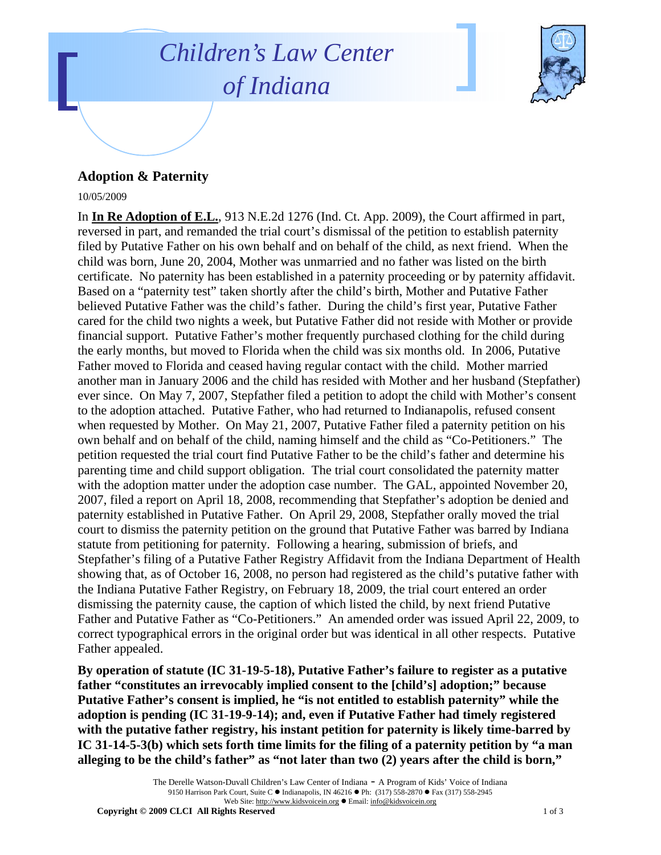## *Children's Law Center of Indiana*



## **Adoption & Paternity**

## 10/05/2009

In **In Re Adoption of E.L.**, 913 N.E.2d 1276 (Ind. Ct. App. 2009), the Court affirmed in part, reversed in part, and remanded the trial court's dismissal of the petition to establish paternity filed by Putative Father on his own behalf and on behalf of the child, as next friend. When the child was born, June 20, 2004, Mother was unmarried and no father was listed on the birth certificate. No paternity has been established in a paternity proceeding or by paternity affidavit. Based on a "paternity test" taken shortly after the child's birth, Mother and Putative Father believed Putative Father was the child's father. During the child's first year, Putative Father cared for the child two nights a week, but Putative Father did not reside with Mother or provide financial support. Putative Father's mother frequently purchased clothing for the child during the early months, but moved to Florida when the child was six months old. In 2006, Putative Father moved to Florida and ceased having regular contact with the child. Mother married another man in January 2006 and the child has resided with Mother and her husband (Stepfather) ever since. On May 7, 2007, Stepfather filed a petition to adopt the child with Mother's consent to the adoption attached. Putative Father, who had returned to Indianapolis, refused consent when requested by Mother. On May 21, 2007, Putative Father filed a paternity petition on his own behalf and on behalf of the child, naming himself and the child as "Co-Petitioners." The petition requested the trial court find Putative Father to be the child's father and determine his parenting time and child support obligation. The trial court consolidated the paternity matter with the adoption matter under the adoption case number. The GAL, appointed November 20, 2007, filed a report on April 18, 2008, recommending that Stepfather's adoption be denied and paternity established in Putative Father. On April 29, 2008, Stepfather orally moved the trial court to dismiss the paternity petition on the ground that Putative Father was barred by Indiana statute from petitioning for paternity. Following a hearing, submission of briefs, and Stepfather's filing of a Putative Father Registry Affidavit from the Indiana Department of Health showing that, as of October 16, 2008, no person had registered as the child's putative father with the Indiana Putative Father Registry, on February 18, 2009, the trial court entered an order dismissing the paternity cause, the caption of which listed the child, by next friend Putative Father and Putative Father as "Co-Petitioners." An amended order was issued April 22, 2009, to correct typographical errors in the original order but was identical in all other respects. Putative Father appealed.

**By operation of statute (IC 31-19-5-18), Putative Father's failure to register as a putative father "constitutes an irrevocably implied consent to the [child's] adoption;" because Putative Father's consent is implied, he "is not entitled to establish paternity" while the adoption is pending (IC 31-19-9-14); and, even if Putative Father had timely registered with the putative father registry, his instant petition for paternity is likely time-barred by IC 31-14-5-3(b) which sets forth time limits for the filing of a paternity petition by "a man alleging to be the child's father" as "not later than two (2) years after the child is born,"** 

> The Derelle Watson-Duvall Children's Law Center of Indiana - A Program of Kids' Voice of Indiana 9150 Harrison Park Court, Suite C · Indianapolis, IN 46216 • Ph: (317) 558-2870 • Fax (317) 558-2945 Web Site: http://www.kidsvoicein.org · Email: info@kidsvoicein.org

**Copyright © 2009 CLCI All Rights Reserved 1 of 3 and 2009 CLCI All Rights Reserved**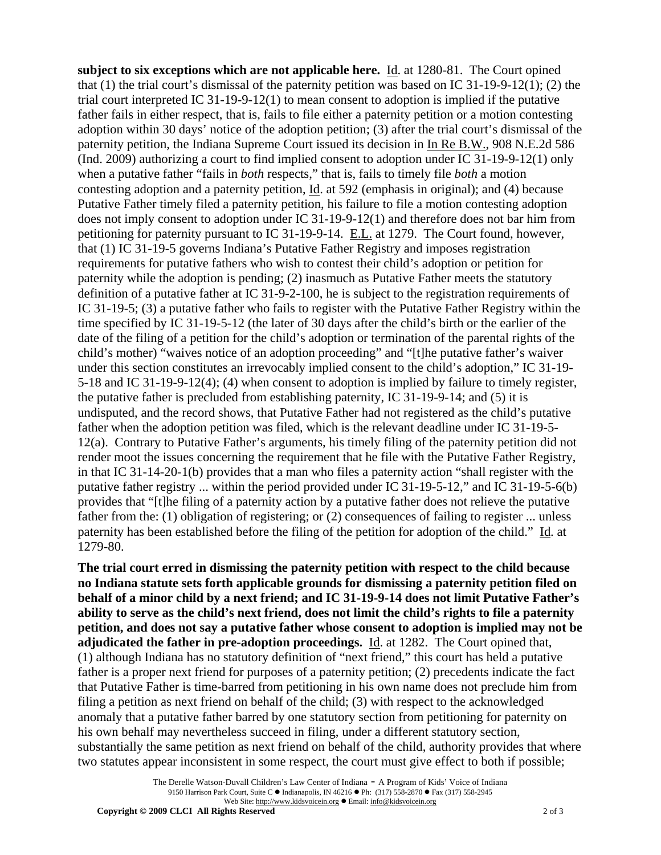**subject to six exceptions which are not applicable here.** Id. at 1280-81. The Court opined that (1) the trial court's dismissal of the paternity petition was based on IC 31-19-9-12(1); (2) the trial court interpreted IC 31-19-9-12(1) to mean consent to adoption is implied if the putative father fails in either respect, that is, fails to file either a paternity petition or a motion contesting adoption within 30 days' notice of the adoption petition; (3) after the trial court's dismissal of the paternity petition, the Indiana Supreme Court issued its decision in In Re B.W., 908 N.E.2d 586 (Ind. 2009) authorizing a court to find implied consent to adoption under IC 31-19-9-12(1) only when a putative father "fails in *both* respects," that is, fails to timely file *both* a motion contesting adoption and a paternity petition, Id. at 592 (emphasis in original); and (4) because Putative Father timely filed a paternity petition, his failure to file a motion contesting adoption does not imply consent to adoption under IC 31-19-9-12(1) and therefore does not bar him from petitioning for paternity pursuant to IC 31-19-9-14. E.L. at 1279. The Court found, however, that (1) IC 31-19-5 governs Indiana's Putative Father Registry and imposes registration requirements for putative fathers who wish to contest their child's adoption or petition for paternity while the adoption is pending; (2) inasmuch as Putative Father meets the statutory definition of a putative father at IC 31-9-2-100, he is subject to the registration requirements of IC 31-19-5; (3) a putative father who fails to register with the Putative Father Registry within the time specified by IC 31-19-5-12 (the later of 30 days after the child's birth or the earlier of the date of the filing of a petition for the child's adoption or termination of the parental rights of the child's mother) "waives notice of an adoption proceeding" and "[t]he putative father's waiver under this section constitutes an irrevocably implied consent to the child's adoption," IC 31-19- 5-18 and IC 31-19-9-12(4); (4) when consent to adoption is implied by failure to timely register, the putative father is precluded from establishing paternity, IC 31-19-9-14; and (5) it is undisputed, and the record shows, that Putative Father had not registered as the child's putative father when the adoption petition was filed, which is the relevant deadline under IC 31-19-5- 12(a). Contrary to Putative Father's arguments, his timely filing of the paternity petition did not render moot the issues concerning the requirement that he file with the Putative Father Registry, in that IC 31-14-20-1(b) provides that a man who files a paternity action "shall register with the putative father registry ... within the period provided under IC 31-19-5-12," and IC 31-19-5-6(b) provides that "[t]he filing of a paternity action by a putative father does not relieve the putative father from the: (1) obligation of registering; or (2) consequences of failing to register ... unless paternity has been established before the filing of the petition for adoption of the child." Id. at 1279-80.

**The trial court erred in dismissing the paternity petition with respect to the child because no Indiana statute sets forth applicable grounds for dismissing a paternity petition filed on behalf of a minor child by a next friend; and IC 31-19-9-14 does not limit Putative Father's ability to serve as the child's next friend, does not limit the child's rights to file a paternity petition, and does not say a putative father whose consent to adoption is implied may not be adjudicated the father in pre-adoption proceedings.** Id. at 1282. The Court opined that, (1) although Indiana has no statutory definition of "next friend," this court has held a putative father is a proper next friend for purposes of a paternity petition; (2) precedents indicate the fact that Putative Father is time-barred from petitioning in his own name does not preclude him from filing a petition as next friend on behalf of the child; (3) with respect to the acknowledged anomaly that a putative father barred by one statutory section from petitioning for paternity on his own behalf may nevertheless succeed in filing, under a different statutory section, substantially the same petition as next friend on behalf of the child, authority provides that where two statutes appear inconsistent in some respect, the court must give effect to both if possible;